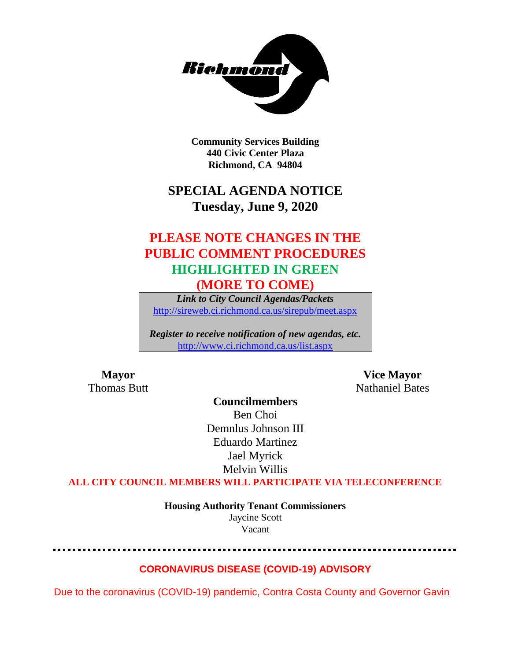

**Community Services Building 440 Civic Center Plaza Richmond, CA 94804**

## **SPECIAL AGENDA NOTICE Tuesday, June 9, 2020**

## **PLEASE NOTE CHANGES IN THE PUBLIC COMMENT PROCEDURES HIGHLIGHTED IN GREEN (MORE TO COME)**

*Link to City Council Agendas/Packets* <http://sireweb.ci.richmond.ca.us/sirepub/meet.aspx>

*Register to receive notification of new agendas, etc.* <http://www.ci.richmond.ca.us/list.aspx>

**Mayor Vice Mayor Thomas Butt** Nathaniel Bates

**Councilmembers** Ben Choi Demnlus Johnson III Eduardo Martinez Jael Myrick Melvin Willis

**ALL CITY COUNCIL MEMBERS WILL PARTICIPATE VIA TELECONFERENCE**

**Housing Authority Tenant Commissioners** Jaycine Scott Vacant

### **CORONAVIRUS DISEASE (COVID-19) ADVISORY**

Due to the coronavirus (COVID-19) pandemic, Contra Costa County and Governor Gavin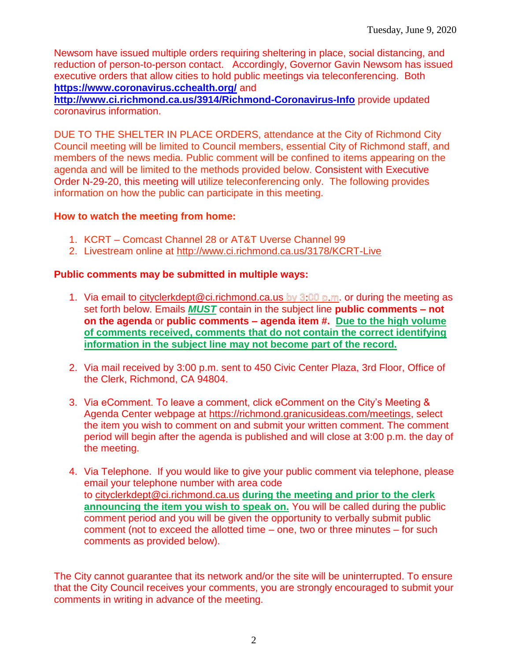Newsom have issued multiple orders requiring sheltering in place, social distancing, and reduction of person-to-person contact. Accordingly, Governor Gavin Newsom has issued executive orders that allow cities to hold public meetings via teleconferencing. Both **<https://www.coronavirus.cchealth.org/>** and

**<http://www.ci.richmond.ca.us/3914/Richmond-Coronavirus-Info>** provide updated coronavirus information.

DUE TO THE SHELTER IN PLACE ORDERS, attendance at the City of Richmond City Council meeting will be limited to Council members, essential City of Richmond staff, and members of the news media. Public comment will be confined to items appearing on the agenda and will be limited to the methods provided below. Consistent with Executive Order N-29-20, this meeting will utilize teleconferencing only. The following provides information on how the public can participate in this meeting.

#### **How to watch the meeting from home:**

- 1. KCRT Comcast Channel 28 or AT&T Uverse Channel 99
- 2. Livestream online at<http://www.ci.richmond.ca.us/3178/KCRT-Live>

#### **Public comments may be submitted in multiple ways:**

- 1. Via email to [cityclerkdept@ci.richmond.ca.us](mailto:cityclerkdept@ci.richmond.ca.us) by  $3:00$  p.m. or during the meeting as set forth below. Emails *MUST* contain in the subject line **public comments – not on the agenda** or **public comments – agenda item #. Due to the high volume of comments received, comments that do not contain the correct identifying information in the subject line may not become part of the record.**
- 2. Via mail received by 3:00 p.m. sent to 450 Civic Center Plaza, 3rd Floor, Office of the Clerk, Richmond, CA 94804.
- 3. Via eComment. To leave a comment, click eComment on the City's Meeting & Agenda Center webpage at [https://richmond.granicusideas.com/meetings,](https://richmond.granicusideas.com/meetings) select the item you wish to comment on and submit your written comment. The comment period will begin after the agenda is published and will close at 3:00 p.m. the day of the meeting.
- 4. Via Telephone. If you would like to give your public comment via telephone, please email your telephone number with area code to [cityclerkdept@ci.richmond.ca.us](mailto:cityclerkdept@ci.richmond.ca.us) **during the meeting and prior to the clerk announcing the item you wish to speak on.** You will be called during the public comment period and you will be given the opportunity to verbally submit public comment (not to exceed the allotted time – one, two or three minutes – for such comments as provided below).

The City cannot guarantee that its network and/or the site will be uninterrupted. To ensure that the City Council receives your comments, you are strongly encouraged to submit your comments in writing in advance of the meeting.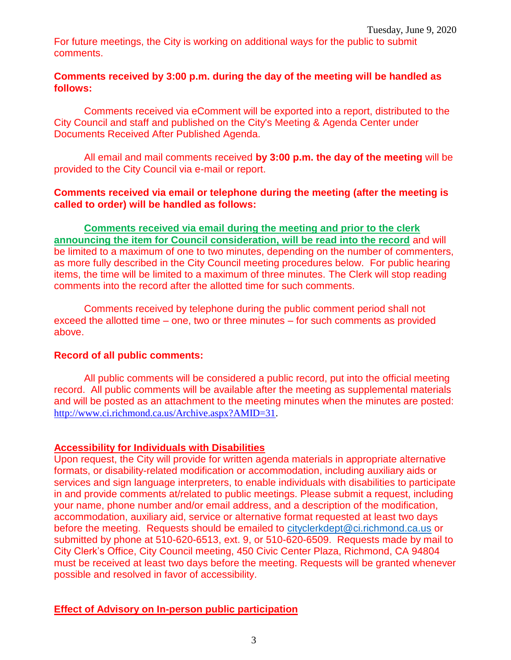For future meetings, the City is working on additional ways for the public to submit comments.

#### **Comments received by 3:00 p.m. during the day of the meeting will be handled as follows:**

Comments received via eComment will be exported into a report, distributed to the City Council and staff and published on the City's Meeting & Agenda Center under Documents Received After Published Agenda.

All email and mail comments received **by 3:00 p.m. the day of the meeting** will be provided to the City Council via e-mail or report.

#### **Comments received via email or telephone during the meeting (after the meeting is called to order) will be handled as follows:**

**Comments received via email during the meeting and prior to the clerk announcing the item for Council consideration, will be read into the record** and will be limited to a maximum of one to two minutes, depending on the number of commenters, as more fully described in the City Council meeting procedures below. For public hearing items, the time will be limited to a maximum of three minutes. The Clerk will stop reading comments into the record after the allotted time for such comments.

Comments received by telephone during the public comment period shall not exceed the allotted time – one, two or three minutes – for such comments as provided above.

#### **Record of all public comments:**

All public comments will be considered a public record, put into the official meeting record. All public comments will be available after the meeting as supplemental materials and will be posted as an attachment to the meeting minutes when the minutes are posted: [http://www.ci.richmond.ca.us/Archive.aspx?AMID=31.](http://www.ci.richmond.ca.us/Archive.aspx?AMID=31)

#### **Accessibility for Individuals with Disabilities**

Upon request, the City will provide for written agenda materials in appropriate alternative formats, or disability-related modification or accommodation, including auxiliary aids or services and sign language interpreters, to enable individuals with disabilities to participate in and provide comments at/related to public meetings. Please submit a request, including your name, phone number and/or email address, and a description of the modification, accommodation, auxiliary aid, service or alternative format requested at least two days before the meeting. Requests should be emailed to [cityclerkdept@ci.richmond.ca.us](mailto:cityclerkdept@ci.richmond.ca.us) or submitted by phone at 510-620-6513, ext. 9, or 510-620-6509. Requests made by mail to City Clerk's Office, City Council meeting, 450 Civic Center Plaza, Richmond, CA 94804 must be received at least two days before the meeting. Requests will be granted whenever possible and resolved in favor of accessibility.

**Effect of Advisory on In-person public participation**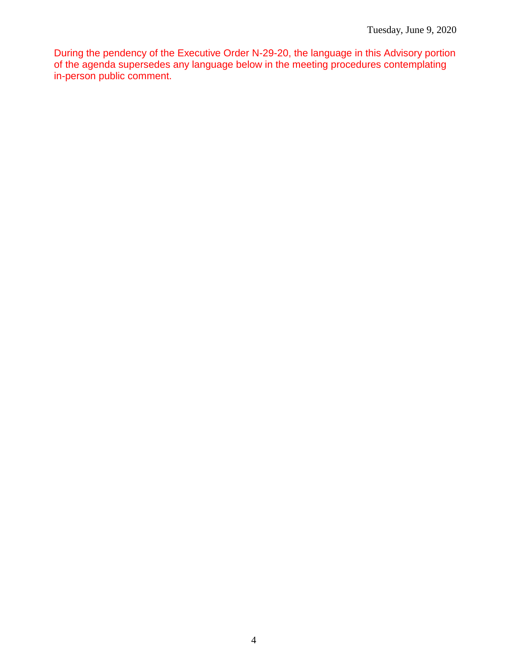During the pendency of the Executive Order N-29-20, the language in this Advisory portion of the agenda supersedes any language below in the meeting procedures contemplating in-person public comment.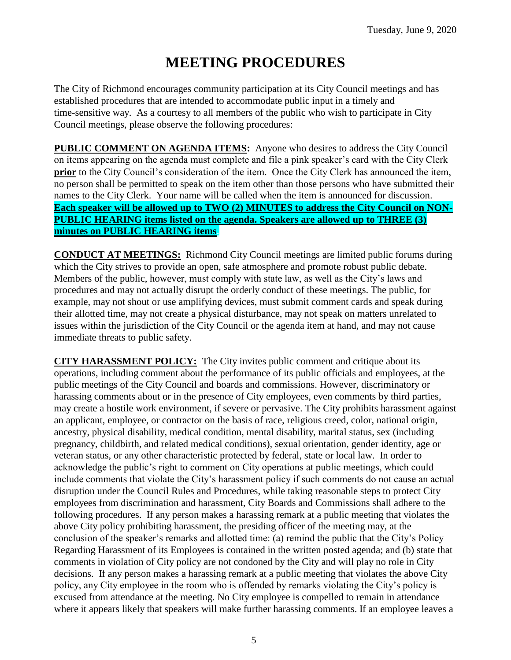# **MEETING PROCEDURES**

The City of Richmond encourages community participation at its City Council meetings and has established procedures that are intended to accommodate public input in a timely and time-sensitive way. As a courtesy to all members of the public who wish to participate in City Council meetings, please observe the following procedures:

**PUBLIC COMMENT ON AGENDA ITEMS:** Anyone who desires to address the City Council on items appearing on the agenda must complete and file a pink speaker's card with the City Clerk **prior** to the City Council's consideration of the item. Once the City Clerk has announced the item, no person shall be permitted to speak on the item other than those persons who have submitted their names to the City Clerk. Your name will be called when the item is announced for discussion. **Each speaker will be allowed up to TWO (2) MINUTES to address the City Council on NON-PUBLIC HEARING items listed on the agenda. Speakers are allowed up to THREE (3) minutes on PUBLIC HEARING items.**

**CONDUCT AT MEETINGS:** Richmond City Council meetings are limited public forums during which the City strives to provide an open, safe atmosphere and promote robust public debate. Members of the public, however, must comply with state law, as well as the City's laws and procedures and may not actually disrupt the orderly conduct of these meetings. The public, for example, may not shout or use amplifying devices, must submit comment cards and speak during their allotted time, may not create a physical disturbance, may not speak on matters unrelated to issues within the jurisdiction of the City Council or the agenda item at hand, and may not cause immediate threats to public safety.

**CITY HARASSMENT POLICY:** The City invites public comment and critique about its operations, including comment about the performance of its public officials and employees, at the public meetings of the City Council and boards and commissions. However, discriminatory or harassing comments about or in the presence of City employees, even comments by third parties, may create a hostile work environment, if severe or pervasive. The City prohibits harassment against an applicant, employee, or contractor on the basis of race, religious creed, color, national origin, ancestry, physical disability, medical condition, mental disability, marital status, sex (including pregnancy, childbirth, and related medical conditions), sexual orientation, gender identity, age or veteran status, or any other characteristic protected by federal, state or local law. In order to acknowledge the public's right to comment on City operations at public meetings, which could include comments that violate the City's harassment policy if such comments do not cause an actual disruption under the Council Rules and Procedures, while taking reasonable steps to protect City employees from discrimination and harassment, City Boards and Commissions shall adhere to the following procedures. If any person makes a harassing remark at a public meeting that violates the above City policy prohibiting harassment, the presiding officer of the meeting may, at the conclusion of the speaker's remarks and allotted time: (a) remind the public that the City's Policy Regarding Harassment of its Employees is contained in the written posted agenda; and (b) state that comments in violation of City policy are not condoned by the City and will play no role in City decisions. If any person makes a harassing remark at a public meeting that violates the above City policy, any City employee in the room who is offended by remarks violating the City's policy is excused from attendance at the meeting. No City employee is compelled to remain in attendance where it appears likely that speakers will make further harassing comments. If an employee leaves a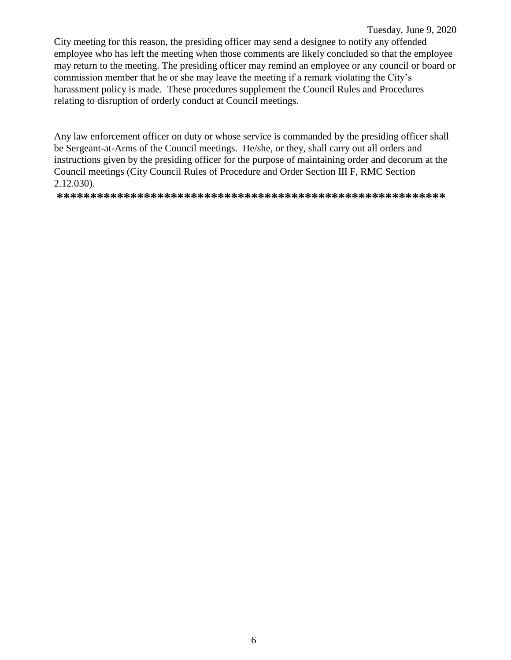City meeting for this reason, the presiding officer may send a designee to notify any offended employee who has left the meeting when those comments are likely concluded so that the employee may return to the meeting. The presiding officer may remind an employee or any council or board or commission member that he or she may leave the meeting if a remark violating the City's harassment policy is made. These procedures supplement the Council Rules and Procedures relating to disruption of orderly conduct at Council meetings.

Any law enforcement officer on duty or whose service is commanded by the presiding officer shall be Sergeant-at-Arms of the Council meetings. He/she, or they, shall carry out all orders and instructions given by the presiding officer for the purpose of maintaining order and decorum at the Council meetings (City Council Rules of Procedure and Order Section III F, RMC Section 2.12.030).

**\*\*\*\*\*\*\*\*\*\*\*\*\*\*\*\*\*\*\*\*\*\*\*\*\*\*\*\*\*\*\*\*\*\*\*\*\*\*\*\*\*\*\*\*\*\*\*\*\*\*\*\*\*\*\*\*\*\***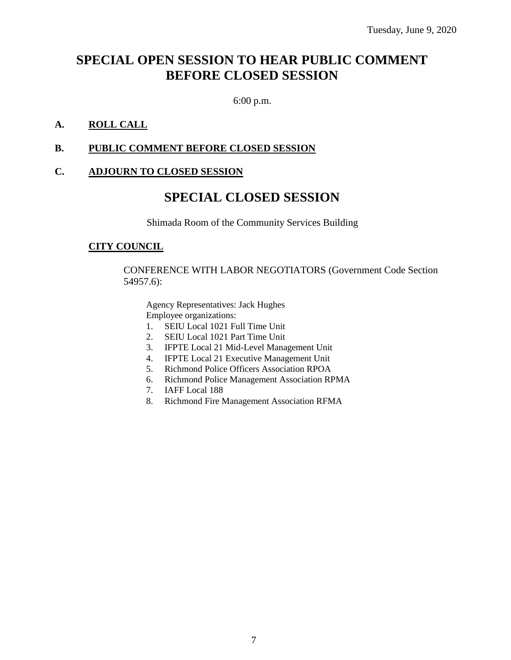### **SPECIAL OPEN SESSION TO HEAR PUBLIC COMMENT BEFORE CLOSED SESSION**

6:00 p.m.

#### **A. ROLL CALL**

#### **B. PUBLIC COMMENT BEFORE CLOSED SESSION**

#### **C. ADJOURN TO CLOSED SESSION**

### **SPECIAL CLOSED SESSION**

Shimada Room of the Community Services Building

#### **CITY COUNCIL**

CONFERENCE WITH LABOR NEGOTIATORS (Government Code Section 54957.6):

Agency Representatives: Jack Hughes Employee organizations:

- 1. SEIU Local 1021 Full Time Unit
- 2. SEIU Local 1021 Part Time Unit
- 3. IFPTE Local 21 Mid-Level Management Unit
- 4. IFPTE Local 21 Executive Management Unit
- 5. Richmond Police Officers Association RPOA
- 6. Richmond Police Management Association RPMA
- 7. IAFF Local 188
- 8. Richmond Fire Management Association RFMA